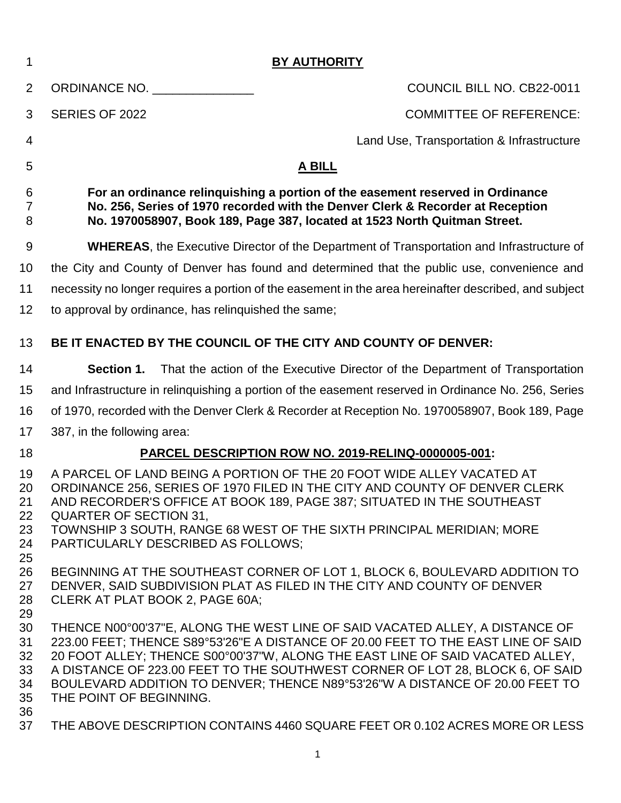| 1                                      | <b>BY AUTHORITY</b>                                                                                                                                                                                                                           |                                                                                                                                                                                                                                                                                                                                                                                                                     |  |  |  |  |  |
|----------------------------------------|-----------------------------------------------------------------------------------------------------------------------------------------------------------------------------------------------------------------------------------------------|---------------------------------------------------------------------------------------------------------------------------------------------------------------------------------------------------------------------------------------------------------------------------------------------------------------------------------------------------------------------------------------------------------------------|--|--|--|--|--|
| 2                                      | ORDINANCE NO.                                                                                                                                                                                                                                 | COUNCIL BILL NO. CB22-0011                                                                                                                                                                                                                                                                                                                                                                                          |  |  |  |  |  |
| 3                                      | SERIES OF 2022                                                                                                                                                                                                                                | <b>COMMITTEE OF REFERENCE:</b>                                                                                                                                                                                                                                                                                                                                                                                      |  |  |  |  |  |
| 4                                      |                                                                                                                                                                                                                                               | Land Use, Transportation & Infrastructure                                                                                                                                                                                                                                                                                                                                                                           |  |  |  |  |  |
| 5                                      | <b>A BILL</b>                                                                                                                                                                                                                                 |                                                                                                                                                                                                                                                                                                                                                                                                                     |  |  |  |  |  |
| 6<br>7<br>8                            | For an ordinance relinguishing a portion of the easement reserved in Ordinance<br>No. 256, Series of 1970 recorded with the Denver Clerk & Recorder at Reception<br>No. 1970058907, Book 189, Page 387, located at 1523 North Quitman Street. |                                                                                                                                                                                                                                                                                                                                                                                                                     |  |  |  |  |  |
| 9                                      | <b>WHEREAS, the Executive Director of the Department of Transportation and Infrastructure of</b>                                                                                                                                              |                                                                                                                                                                                                                                                                                                                                                                                                                     |  |  |  |  |  |
| 10                                     | the City and County of Denver has found and determined that the public use, convenience and                                                                                                                                                   |                                                                                                                                                                                                                                                                                                                                                                                                                     |  |  |  |  |  |
| 11                                     | necessity no longer requires a portion of the easement in the area hereinafter described, and subject                                                                                                                                         |                                                                                                                                                                                                                                                                                                                                                                                                                     |  |  |  |  |  |
| 12                                     | to approval by ordinance, has relinguished the same;                                                                                                                                                                                          |                                                                                                                                                                                                                                                                                                                                                                                                                     |  |  |  |  |  |
| 13                                     |                                                                                                                                                                                                                                               | BE IT ENACTED BY THE COUNCIL OF THE CITY AND COUNTY OF DENVER:                                                                                                                                                                                                                                                                                                                                                      |  |  |  |  |  |
| 14                                     | Section 1.                                                                                                                                                                                                                                    | That the action of the Executive Director of the Department of Transportation                                                                                                                                                                                                                                                                                                                                       |  |  |  |  |  |
| 15                                     |                                                                                                                                                                                                                                               | and Infrastructure in relinguishing a portion of the easement reserved in Ordinance No. 256, Series                                                                                                                                                                                                                                                                                                                 |  |  |  |  |  |
| 16                                     | of 1970, recorded with the Denver Clerk & Recorder at Reception No. 1970058907, Book 189, Page                                                                                                                                                |                                                                                                                                                                                                                                                                                                                                                                                                                     |  |  |  |  |  |
| 17                                     | 387, in the following area:                                                                                                                                                                                                                   |                                                                                                                                                                                                                                                                                                                                                                                                                     |  |  |  |  |  |
| 18                                     |                                                                                                                                                                                                                                               | PARCEL DESCRIPTION ROW NO. 2019-RELINQ-0000005-001:                                                                                                                                                                                                                                                                                                                                                                 |  |  |  |  |  |
| 19<br>20<br>21<br>22<br>23<br>24<br>25 | <b>QUARTER OF SECTION 31,</b><br>PARTICULARLY DESCRIBED AS FOLLOWS;                                                                                                                                                                           | A PARCEL OF LAND BEING A PORTION OF THE 20 FOOT WIDE ALLEY VACATED AT<br>ORDINANCE 256, SERIES OF 1970 FILED IN THE CITY AND COUNTY OF DENVER CLERK<br>AND RECORDER'S OFFICE AT BOOK 189, PAGE 387; SITUATED IN THE SOUTHEAST<br>TOWNSHIP 3 SOUTH, RANGE 68 WEST OF THE SIXTH PRINCIPAL MERIDIAN; MORE                                                                                                              |  |  |  |  |  |
| 26<br>27<br>28<br>29                   | CLERK AT PLAT BOOK 2, PAGE 60A;                                                                                                                                                                                                               | BEGINNING AT THE SOUTHEAST CORNER OF LOT 1, BLOCK 6, BOULEVARD ADDITION TO<br>DENVER, SAID SUBDIVISION PLAT AS FILED IN THE CITY AND COUNTY OF DENVER                                                                                                                                                                                                                                                               |  |  |  |  |  |
| 30<br>31<br>32<br>33<br>34<br>35<br>36 | THE POINT OF BEGINNING.                                                                                                                                                                                                                       | THENCE N00°00'37"E, ALONG THE WEST LINE OF SAID VACATED ALLEY, A DISTANCE OF<br>223.00 FEET; THENCE S89°53'26"E A DISTANCE OF 20.00 FEET TO THE EAST LINE OF SAID<br>20 FOOT ALLEY; THENCE S00°00'37"W, ALONG THE EAST LINE OF SAID VACATED ALLEY,<br>A DISTANCE OF 223.00 FEET TO THE SOUTHWEST CORNER OF LOT 28, BLOCK 6, OF SAID<br>BOULEVARD ADDITION TO DENVER; THENCE N89°53'26"W A DISTANCE OF 20.00 FEET TO |  |  |  |  |  |
| 37                                     |                                                                                                                                                                                                                                               | THE ABOVE DESCRIPTION CONTAINS 4460 SQUARE FEET OR 0.102 ACRES MORE OR LESS                                                                                                                                                                                                                                                                                                                                         |  |  |  |  |  |